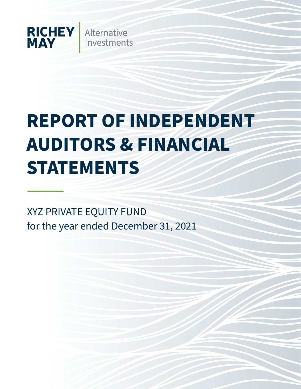

# **REPORT OF INDEPENDENT AUDITORS & FINANCIAL STATEMENTS**

XYZ PRIVATE EQUITY FUND for the year ended December 31, 2021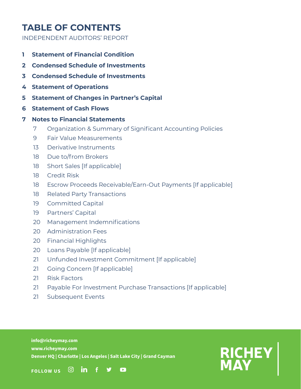# **TABLE OF CONTENTS**

INDEPENDENT AUDITORS' REPORT

- **1 Statement of Financial Condition**
- **2 Condensed Schedule of Investments**
- **3 Condensed Schedule of Investments**
- **4 Statement of Operations**
- **5 Statement of Changes in Partner's Capital**
- **6 Statement of Cash Flows**

# **7 Notes to Financial Statements**

- 7 Organization & Summary of Significant Accounting Policies
- 9 Fair Value Measurements
- 13 Derivative Instruments
- 18 Due to/from Brokers
- 18 Short Sales [If applicable]
- 18 Credit Risk
- 18 Escrow Proceeds Receivable/Earn-Out Payments [If applicable]
- 18 Related Party Transactions
- 19 Committed Capital
- 19 Partners' Capital
- 20 Management Indemnifications
- 20 Administration Fees
- 20 Financial Highlights
- 20 Loans Payable [If applicable]
- 21 Unfunded Investment Commitment [If applicable]
- 21 Going Concern [If applicable]
- 21 Risk Factors
- 21 Payable For Investment Purchase Transactions [If applicable]
- 21 Subsequent Events

**info@richeymay.com www.richeymay.com Denver HQ | Charlotte | Los Angeles | Salt Lake City | Grand Cayman**

 $\sqrt{2}$ 



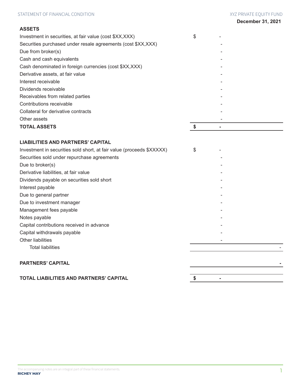### **ASSETS**

| Investment in securities, at fair value (cost \$XX, XXX)      | \$ |  |
|---------------------------------------------------------------|----|--|
| Securities purchased under resale agreements (cost \$XX, XXX) |    |  |
| Due from broker(s)                                            |    |  |
| Cash and cash equivalents                                     |    |  |
| Cash denominated in foreign currencies (cost \$XX, XXX)       |    |  |
| Derivative assets, at fair value                              |    |  |
| Interest receivable                                           |    |  |
| Dividends receivable                                          |    |  |
| Receivables from related parties                              |    |  |
| Contributions receivable                                      |    |  |
| Collateral for derivative contracts                           |    |  |
| Other assets                                                  |    |  |
| <b>TOTAL ASSETS</b>                                           |    |  |

# **LIABILITIES AND PARTNERS' CAPITAL**

| Investment in securities sold short, at fair value (proceeds \$XXXXX) | \$ |  |
|-----------------------------------------------------------------------|----|--|
| Securities sold under repurchase agreements                           |    |  |
| Due to broker(s)                                                      |    |  |
| Derivative liabilities, at fair value                                 |    |  |
| Dividends payable on securities sold short                            |    |  |
| Interest payable                                                      |    |  |
| Due to general partner                                                |    |  |
| Due to investment manager                                             |    |  |
| Management fees payable                                               |    |  |
| Notes payable                                                         |    |  |
| Capital contributions received in advance                             |    |  |
| Capital withdrawals payable                                           |    |  |
| <b>Other liabilities</b>                                              |    |  |
| <b>Total liabilities</b>                                              |    |  |
|                                                                       |    |  |
| <b>PARTNERS' CAPITAL</b>                                              |    |  |
| <b>TOTAL LIABILITIES AND PARTNERS' CAPITAL</b>                        | \$ |  |
|                                                                       |    |  |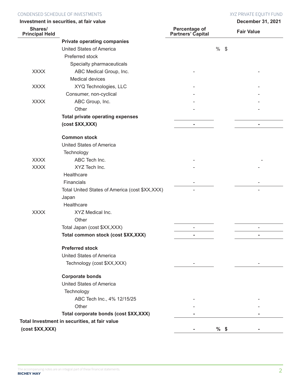### CONDENSED SCHEDULE OF INVESTMENTS THE STATE OF INVESTMENTS AND THE STATE OF INVESTMENTS OF THE STATE OF INVESTMENTS

|                                  | Investment in securities, at fair value         |                                    |             | December 31, 2021        |
|----------------------------------|-------------------------------------------------|------------------------------------|-------------|--------------------------|
| Shares/<br><b>Principal Held</b> |                                                 | Percentage of<br>Partners' Capital |             | <b>Fair Value</b>        |
|                                  | <b>Private operating companies</b>              |                                    |             |                          |
|                                  | <b>United States of America</b>                 |                                    | $\%$<br>-\$ |                          |
|                                  | Preferred stock                                 |                                    |             |                          |
|                                  | Specialty pharmaceuticals                       |                                    |             |                          |
| <b>XXXX</b>                      | ABC Medical Group, Inc.                         |                                    |             |                          |
|                                  | Medical devices                                 |                                    |             |                          |
| <b>XXXX</b>                      | XYQ Technologies, LLC                           |                                    |             |                          |
|                                  | Consumer, non-cyclical                          |                                    |             |                          |
| <b>XXXX</b>                      | ABC Group, Inc.                                 |                                    |             |                          |
|                                  | Other                                           |                                    |             |                          |
|                                  | <b>Total private operating expenses</b>         |                                    |             |                          |
|                                  | (cost \$XX, XXX)                                | $\blacksquare$                     |             | $\overline{\phantom{a}}$ |
|                                  | <b>Common stock</b>                             |                                    |             |                          |
|                                  | <b>United States of America</b>                 |                                    |             |                          |
|                                  | Technology                                      |                                    |             |                          |
| <b>XXXX</b>                      | ABC Tech Inc.                                   |                                    |             |                          |
| <b>XXXX</b>                      | XYZ Tech Inc.                                   |                                    |             |                          |
|                                  | Healthcare                                      |                                    |             |                          |
|                                  | Financials                                      |                                    |             |                          |
|                                  | Total United States of America (cost \$XX, XXX) |                                    |             |                          |
|                                  | Japan                                           |                                    |             |                          |
|                                  | Healthcare                                      |                                    |             |                          |
| <b>XXXX</b>                      | XYZ Medical Inc.                                |                                    |             |                          |
|                                  | Other                                           |                                    |             |                          |
|                                  | Total Japan (cost \$XX, XXX)                    | $\overline{\phantom{a}}$           |             | $\overline{\phantom{0}}$ |
|                                  | Total common stock (cost \$XX,XXX)              | $\blacksquare$                     |             | ۰                        |
|                                  | <b>Preferred stock</b>                          |                                    |             |                          |
|                                  | <b>United States of America</b>                 |                                    |             |                          |
|                                  | Technology (cost \$XX, XXX)                     |                                    |             |                          |
|                                  | <b>Corporate bonds</b>                          |                                    |             |                          |
|                                  | <b>United States of America</b>                 |                                    |             |                          |
|                                  | Technology                                      |                                    |             |                          |
|                                  | ABC Tech Inc., 4% 12/15/25                      |                                    |             |                          |
|                                  | Other                                           |                                    |             |                          |
|                                  | Total corporate bonds (cost \$XX, XXX)          |                                    |             |                          |
|                                  | Total Investment in securities, at fair value   |                                    |             |                          |
| (cost \$XX, XXX)                 |                                                 |                                    | $%$ \$      |                          |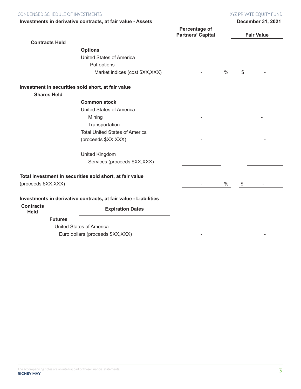| CONDENSED SCHEDULE OF INVESTMENTS | XYZ PRIVATE EOUITY FUND |
|-----------------------------------|-------------------------|
|                                   |                         |

| Investments in derivative contracts, at fair value - Assets |  |  |  |  |  |  |  |  |
|-------------------------------------------------------------|--|--|--|--|--|--|--|--|
|-------------------------------------------------------------|--|--|--|--|--|--|--|--|

|                                 | Investments in derivative contracts, at fair value - Assets      |                                           |      |       | <b>December 31, 2021</b> |
|---------------------------------|------------------------------------------------------------------|-------------------------------------------|------|-------|--------------------------|
|                                 |                                                                  | Percentage of<br><b>Partners' Capital</b> |      |       | <b>Fair Value</b>        |
| <b>Contracts Held</b>           |                                                                  |                                           |      |       |                          |
|                                 | <b>Options</b>                                                   |                                           |      |       |                          |
|                                 | <b>United States of America</b>                                  |                                           |      |       |                          |
|                                 | Put options                                                      |                                           |      |       |                          |
|                                 | Market indices (cost \$XX, XXX)                                  |                                           | $\%$ | \$    |                          |
|                                 | Investment in securities sold short, at fair value               |                                           |      |       |                          |
| <b>Shares Held</b>              |                                                                  |                                           |      |       |                          |
|                                 | <b>Common stock</b>                                              |                                           |      |       |                          |
|                                 | <b>United States of America</b>                                  |                                           |      |       |                          |
|                                 | Mining                                                           |                                           |      |       |                          |
|                                 | Transportation                                                   |                                           |      |       |                          |
|                                 | <b>Total United States of America</b>                            |                                           |      |       |                          |
|                                 | (proceeds \$XX, XXX)                                             |                                           |      |       |                          |
|                                 | <b>United Kingdom</b>                                            |                                           |      |       |                          |
|                                 | Services (proceeds \$XX, XXX)                                    |                                           |      |       |                          |
|                                 | Total investment in securities sold short, at fair value         |                                           |      |       |                          |
| (proceeds \$XX, XXX)            |                                                                  |                                           | $\%$ | $\$\$ |                          |
|                                 | Investments in derivative contracts, at fair value - Liabilities |                                           |      |       |                          |
| <b>Contracts</b><br><b>Held</b> | <b>Expiration Dates</b>                                          |                                           |      |       |                          |
| <b>Futures</b>                  |                                                                  |                                           |      |       |                          |
|                                 | <b>United States of America</b>                                  |                                           |      |       |                          |
|                                 | Euro dollars (proceeds \$XX, XXX)                                |                                           |      |       |                          |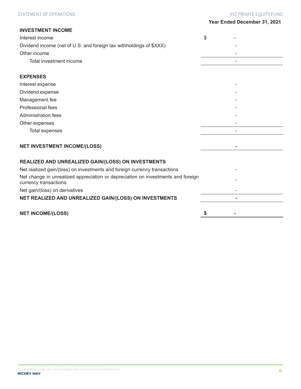### STATEMENT OF OPERATIONS STATEMENT OF OPERATIONS STATEMENT OF OPERATIONS STATEMENT OF OPERATIONS

| Year Ended December 31, 2021 |  |  |  |
|------------------------------|--|--|--|
|------------------------------|--|--|--|

| <b>INVESTMENT INCOME</b>                                                                                  |    |
|-----------------------------------------------------------------------------------------------------------|----|
| Interest income                                                                                           | \$ |
| Dividend income (net of U.S. and foreign tax withholdings of \$XXX)                                       |    |
| Other income                                                                                              |    |
| Total investment income                                                                                   |    |
| <b>EXPENSES</b>                                                                                           |    |
| Interest expense                                                                                          |    |
| Dividend expense                                                                                          |    |
| Management fee                                                                                            |    |
| Professional fees                                                                                         |    |
| <b>Administration fees</b>                                                                                |    |
| Other expenses                                                                                            |    |
| <b>Total expenses</b>                                                                                     |    |
| <b>NET INVESTMENT INCOME/(LOSS)</b>                                                                       |    |
| REALIZED AND UNREALIZED GAIN/(LOSS) ON INVESTMENTS                                                        |    |
| Net realized gain/(loss) on investments and foreign currency transactions                                 |    |
| Net change in unrealized appreciation or depreciation on investments and foreign<br>currency transactions |    |
| Net gain/(loss) on derivatives                                                                            |    |
| NET REALIZED AND UNREALIZED GAIN/(LOSS) ON INVESTMENTS                                                    |    |
| <b>NET INCOME/(LOSS)</b>                                                                                  | \$ |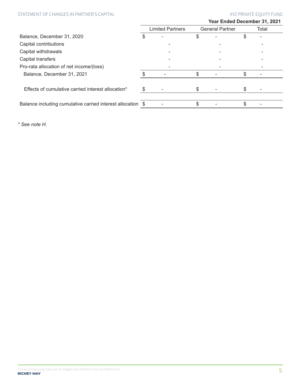# STATEMENT OF CHANGES IN PARTNER'S CAPITAL THE STATEMENT OF CHANGES IN PARTNER'S CAPITAL XYZ PRIVATE EQUITY FUND

|                                                             |   |                         | Year Ended December 31, 2021 |    |       |
|-------------------------------------------------------------|---|-------------------------|------------------------------|----|-------|
|                                                             |   | <b>Limited Partners</b> | <b>General Partner</b>       |    | Total |
| Balance, December 31, 2020                                  | S |                         | \$                           | S  |       |
| Capital contributions                                       |   |                         |                              |    |       |
| Capital withdrawals                                         |   |                         |                              |    |       |
| Capital transfers                                           |   |                         |                              |    |       |
| Pro-rata allocation of net income/(loss)                    |   |                         |                              |    |       |
| Balance, December 31, 2021                                  |   |                         | \$                           | \$ |       |
| Effects of cumulative carried interest allocation*          |   |                         | \$                           | S  |       |
| Balance including cumulative carried interest allocation \$ |   |                         | \$                           | S  |       |

*\* See note H.*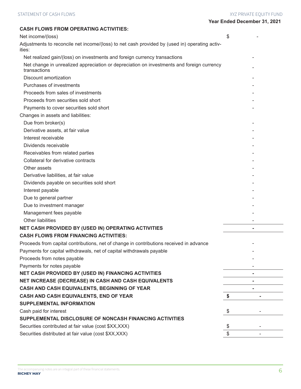| <b>CASH FLOWS FROM OPERATING ACTIVITIES:</b>                                                              |    |
|-----------------------------------------------------------------------------------------------------------|----|
| Net income/(loss)                                                                                         | \$ |
| Adjustments to reconcile net income/(loss) to net cash provided by (used in) operating activ-<br>ities:   |    |
| Net realized gain/(loss) on investments and foreign currency transactions                                 |    |
| Net change in unrealized appreciation or depreciation on investments and foreign currency<br>transactions |    |
| Discount amortization                                                                                     |    |
| Purchases of investments                                                                                  |    |
| Proceeds from sales of investments                                                                        |    |
| Proceeds from securities sold short                                                                       |    |
| Payments to cover securities sold short                                                                   |    |
| Changes in assets and liabilities:                                                                        |    |
| Due from broker(s)                                                                                        |    |
| Derivative assets, at fair value                                                                          |    |
| Interest receivable                                                                                       |    |
| Dividends receivable                                                                                      |    |
| Receivables from related parties                                                                          |    |
| Collateral for derivative contracts                                                                       |    |
| Other assets                                                                                              |    |
| Derivative liabilities, at fair value                                                                     |    |
| Dividends payable on securities sold short                                                                |    |
| Interest payable                                                                                          |    |
| Due to general partner                                                                                    |    |
| Due to investment manager                                                                                 |    |
| Management fees payable                                                                                   |    |
| Other liabilities                                                                                         |    |
| NET CASH PROVIDED BY (USED IN) OPERATING ACTIVITIES                                                       |    |
| <b>CASH FLOWS FROM FINANCING ACTIVITIES:</b>                                                              |    |
| Proceeds from capital contributions, net of change in contributions received in advance                   |    |
| Payments for capital withdrawals, net of capital withdrawals payable                                      |    |
| Proceeds from notes payable                                                                               |    |
| Payments for notes payable                                                                                |    |
| NET CASH PROVIDED BY (USED IN) FINANCING ACTIVITIES                                                       |    |
| NET INCREASE (DECREASE) IN CASH AND CASH EQUIVALENTS                                                      |    |
| CASH AND CASH EQUIVALENTS, BEGINNING OF YEAR                                                              |    |
| CASH AND CASH EQUIVALENTS, END OF YEAR                                                                    | \$ |
| <b>SUPPLEMENTAL INFORMATION</b>                                                                           |    |
| Cash paid for interest                                                                                    | \$ |
| SUPPLEMENTAL DISCLOSURE OF NONCASH FINANCING ACTIVITIES                                                   |    |
| Securities contributed at fair value (cost \$XX, XXX)                                                     | \$ |
| Securities distributed at fair value (cost \$XX,XXX)                                                      | \$ |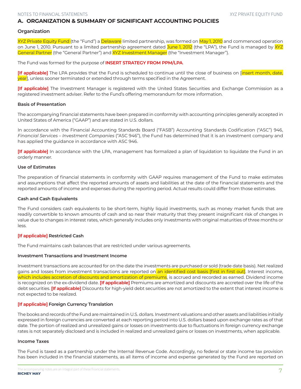# **A. ORGANIZATION & SUMMARY OF SIGNIFICANT ACCOUNTING POLICIES**

#### **Organization**

XYZ Private Equity Fund (the "Fund") a Delaware limited partnership, was formed on May 1, 2010 and commenced operation on June 1, 2010. Pursuant to a limited partnership agreement dated June 1, 2012 (the "LPA"), the Fund is managed by XYZ General Partner (the "General Partner") and XYZ Investment Manager (the "Investment Manager").

The Fund was formed for the purpose of **INSERT STRATEGY FROM PPM/LPA**.

**[If applicable]** The LPA provides that the Fund is scheduled to continue until the close of business on [insert month, date, year], unless sooner terminated or extended through terms specified in the Agreement.

**[If applicable]** The Investment Manager is registered with the United States Securities and Exchange Commission as a registered investment adviser. Refer to the Fund's offering memorandum for more information.

#### **Basis of Presentation**

The accompanying financial statements have been prepared in conformity with accounting principles generally accepted in United States of America ("GAAP") and are stated in U.S. dollars.

In accordance with the Financial Accounting Standards Board ("FASB") Accounting Standards Codification ("ASC") 946, *Financial Services – Investment Companies* ("ASC 946"), the Fund has determined that it is an investment company and has applied the guidance in accordance with ASC 946.

**[If applicable]** In accordance with the LPA, management has formalized a plan of liquidation to liquidate the Fund in an orderly manner.

#### **Use of Estimates**

The preparation of financial statements in conformity with GAAP requires management of the Fund to make estimates and assumptions that affect the reported amounts of assets and liabilities at the date of the financial statements and the reported amounts of income and expenses during the reporting period. Actual results could differ from those estimates.

#### **Cash and Cash Equivalents**

The Fund considers cash equivalents to be short-term, highly liquid investments, such as money market funds that are readily convertible to known amounts of cash and so near their maturity that they present insignificant risk of changes in value due to changes in interest rates, which generally includes only investments with original maturities of three months or less.

#### **[If applicable] Restricted Cash**

The Fund maintains cash balances that are restricted under various agreements.

#### **Investment Transactions and Investment Income**

Investment transactions are accounted for on the date the investments are purchased or sold (trade date basis). Net realized gains and losses from investment transactions are reported on an identified cost basis [first in first out]. Interest income, which includes accretion of discounts and amortization of premiums, is accrued and recorded as earned. Dividend income is recognized on the ex‐dividend date. **[If applicable]** Premiums are amortized and discounts are accreted over the life of the debt securities. **[If applicable]** Discounts for high-yield debt securities are not amortized to the extent that interest income is not expected to be realized.

#### **[If applicable] Foreign Currency Translation**

The books and records of the Fund are maintained in U.S. dollars. Investment valuations and other assets and liabilities initially expressed in foreign currencies are converted at each reporting period into U.S. dollars based upon exchange rates as of that date. The portion of realized and unrealized gains or losses on investments due to fluctuations in foreign currency exchange rates is not separately disclosed and is included in realized and unrealized gains or losses on investments, when applicable.

#### **Income Taxes**

The Fund is taxed as a partnership under the Internal Revenue Code. Accordingly, no federal or state income tax provision has been included in the financial statements, as all items of income and expense generated by the Fund are reported on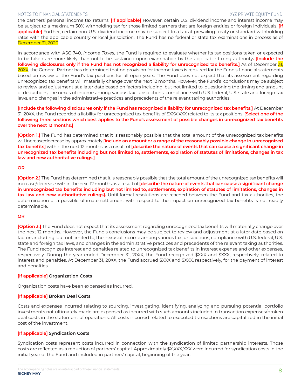the partners' personal income tax returns. **[If applicable]** However, certain U.S. dividend income and interest income may be subject to a maximum 30% withholding tax for those limited partners that are foreign entities or foreign individuals. **[If**  applicable] Further, certain non-U.S. dividend income may be subject to a tax at prevailing treaty or standard withholding rates with the applicable country or local jurisdiction. The Fund has no federal or state tax examinations in process as of December 31, 2020.

In accordance with ASC 740, *Income Taxes*, the Fund is required to evaluate whether its tax positions taken or expected to be taken are more likely than not to be sustained upon examination by the applicable taxing authority**. [Include the**  following disclosures only if the Fund has not recognized a liability for unrecognized tax benefits.] As of December 31, 20XX, the General Partner has determined that no provision for income taxes is required for the Fund's financial statements based on review of the Fund's tax positions for all open years. The Fund does not expect that its assessment regarding unrecognized tax benefits will materially change over the next 12 months. However, the Fund's conclusions may be subject to review and adjustment at a later date based on factors including, but not limited to, questioning the timing and amount of deductions, the nexus of income among various tax jurisdictions, compliance with U.S. federal, U.S. state and foreign tax laws, and changes in the administrative practices and precedents of the relevant taxing authorities.

**[Include the following disclosures only if the Fund has recognized a liability for unrecognized tax benefits.]** At December 31, 20XX, the Fund recorded a liability for unrecognized tax benefits of \$XXX,XXX related to its tax positions. **[Select one of the following three sections which best applies to the Fund's assessment of possible changes in unrecognized tax benefits over the next 12 months.]**

**[Option 1.]** The Fund has determined that it is reasonably possible that the total amount of the unrecognized tax benefits will increase/decrease by approximately **[include an amount or a range of the reasonably possible change in unrecognized tax benefits]** within the next 12 months as a result of **[describe the nature of events that can cause a significant change in unrecognized tax benefits including but not limited to, settlements, expiration of statutes of limitations, changes in tax law and new authoritative rulings.]**

#### **OR**

**[Option 2.]** The Fund has determined that it is reasonably possible that the total amount of the unrecognized tax benefits will increase/decrease within the next 12 months as a result of **[describe the nature of events that can cause a significant change in unrecognized tax benefits including but not limited to, settlements, expiration of statutes of limitations, changes in tax law and new authoritative rulings].** Until formal resolutions are reached between the Fund and tax authorities, the determination of a possible ultimate settlement with respect to the impact on unrecognized tax benefits is not readily determinable.

### **OR**

**[Option 3.]** The Fund does not expect that its assessment regarding unrecognized tax benefits will materially change over the next 12 months. However, the Fund's conclusions may be subject to review and adjustment at a later date based on factors including, but not limited to, the nexus of income among various tax jurisdictions, compliance with U.S. federal, U.S. state and foreign tax laws, and changes in the administrative practices and precedents of the relevant taxing authorities. The Fund recognizes interest and penalties related to unrecognized tax benefits in interest expense and other expenses, respectively. During the year ended December 31, 20XX, the Fund recognized \$XXX and \$XXX, respectively, related to interest and penalties. At December 31, 20XX, the Fund accrued \$XXX and \$XXX, respectively, for the payment of interest and penalties.

### **[If applicable] Organization Costs**

Organization costs have been expensed as incurred.

### **[If applicable] Broken Deal Costs**

Costs and expenses incurred relating to sourcing, investigating, identifying, analyzing and pursuing potential portfolio investments not ultimately made are expensed as incurred with such amounts included in transaction expenses/broken deal costs in the statement of operations. All costs incurred related to executed transactions are capitalized in the initial cost of the investment.

### **[If applicable] Syndication Costs**

Syndication costs represent costs incurred in connection with the syndication of limited partnership interests. Those costs are reflected as a reduction of partners' capital. Approximately \$X,XXX,XXX were incurred for syndication costs in the initial year of the Fund and included in partners' capital, beginning of the year.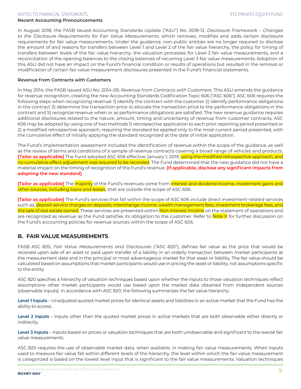#### **Recent Accounting Pronouncements**

In August 2018, the FASB issued Accounting Standards Update ("ASU") No. 2018-13, *Disclosure Framework – Changes to the Disclosure Requirements for Fair Value Measurements*, which removes, modifies and adds certain disclosure requirements for fair value measurements. Under the guidance, non-public entities are no longer required to disclose the amount of and reasons for transfers between Level 1 and Level 2 of the fair value hierarchy, the policy for timing of transfers between levels of the fair value hierarchy, the valuation processes for Level 3 fair value measurements, and a reconciliation of the opening balances to the closing balances of recurring Level 3 fair value measurements. Adoption of this ASU did not have an impact on the Fund's financial condition or results of operations but resulted in the removal or modification of certain fair value measurement disclosures presented in the Fund's financial statements.

#### **Revenue from Contracts with Customers**

In May 2014, the FASB issued ASU No. 2014-09, *Revenue from Contracts with Customers*. This ASU amends the guidance for revenue recognition, creating the new Accounting Standards Codification Topic 606 ("ASC 606"). ASC 606 requires the following steps when recognizing revenue: 1) identify the contract with the customer 2) identify performance obligations in the contract 3) determine the transaction price 4) allocate the transaction price to the performance obligations in the contract and 5) recognize revenue when or as performance obligations are satisfied. The new revenue guidance requires additional disclosures related to the nature, amount, timing and uncertainty of revenue from customer contracts. ASC 606 may be adopted by using one of two methods 1) retrospective application to each prior reporting period presented or 2) a modified retrospective approach, requiring the standard be applied only to the most current period presented, with the cumulative effect of initially applying the standard recognized at the date of initial application.

The Fund's implementation assessment included the identification of revenue within the scope of the guidance, as well as the review of terms and conditions of a sample of revenue contracts covering a broad range of vehicles and products. **[Tailor as applicable]** The Fund adopted ASC 606 effective January 1, 2019, using the modified retrospective approach, and no cumulative effect adjustment was required to be recorded. The Fund determined that the new guidance did not have a material impact on the timing of recognition of the Fund's revenue. **[If applicable, disclose any significant impacts from adopting the new standard]**

**[Tailor as applicable]** The <mark>majority</mark> of the Fund's revenues come from <mark>interest and dividend income, investment gains and</mark> other sources, including loans and leases, that are outside the scope of ASC 606.

**[Tailor as applicable]** The Fund's services that fall within the scope of ASC 606 include direct investment-related services such as, deposit service charges on deposits, interchange income, wealth management fees, investment brokerage fees, and the sale of real estate owned. These services are presented within Non-Interest Income on the statement of operations and are recognized as revenue as the Fund satisfies its obligation to the customer. Refer to **Note X** for further discussion on the Fund's accounting policies for revenue sources within the scope of ASC 606.

# **B. FAIR VALUE MEASUREMENTS**

FASB ASC 820, *Fair Value Measurements and Disclosures* ("ASC 820"), defines fair value as the price that would be received upon sale of an asset or paid upon transfer of a liability in an orderly transaction between market participants at the measurement date and in the principal or most advantageous market for that asset or liability. The fair value should be calculated based on assumptions that market participants would use in pricing the asset or liability, not assumptions specific to the entity.

ASC 820 specifies a hierarchy of valuation techniques based upon whether the inputs to those valuation techniques reflect assumptions other market participants would use based upon the market data obtained from independent sources (observable inputs). In accordance with ASC 820, the following summarizes the fair value hierarchy:

**Level 1 Inputs** – Unadjusted quoted market prices for identical assets and liabilities in an active market that the Fund has the ability to access.

**Level 2 Inputs** – Inputs other than the quoted market prices in active markets that are both observable either directly or indirectly.

**Level 3 Inputs** – Inputs based on prices or valuation techniques that are both unobservable and significant to the overall fair value measurements.

ASC 820 requires the use of observable market data, when available, in making fair value measurements. When inputs used to measure fair value fall within different levels of the hierarchy, the level within which the fair value measurement is categorized is based on the lowest level input that is significant to the fair value measurements. Valuation techniques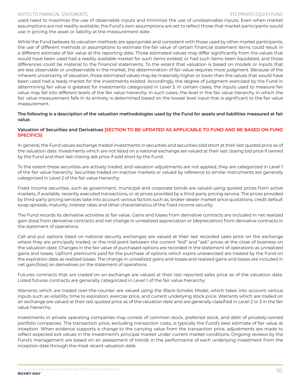used need to maximize the use of observable inputs and minimize the use of unobservable inputs. Even when market assumptions are not readily available, the Fund's own assumptions are set to reflect those that market participants would use in pricing the asset or liability at the measurement date.

While the Fund believes its valuation methods are appropriate and consistent with those used by other market participants, the use of different methods or assumptions to estimate the fair value of certain financial statement items could result in a different estimate of fair value at the reporting date. Those estimated values may differ significantly from the values that would have been used had a readily available market for such items existed, or had such items been liquidated, and those differences could be material to the financial statements. To the extent that valuation is based on models or inputs that are less observable or unobservable in the market, the determination of fair value requires more judgment. Because of the inherent uncertainty of valuation, those estimated values may be materially higher or lower than the values that would have been used had a ready market for the investments existed. Accordingly, the degree of judgment exercised by the Fund in determining fair value is greatest for investments categorized in Level 3. In certain cases, the inputs used to measure fair value may fall into different levels of the fair value hierarchy. In such cases, the level in the fair value hierarchy in which the fair value measurement falls in its entirety is determined based on the lowest level input that is significant to the fair value measurement.

#### **The following is a description of the valuation methodologies used by the Fund for assets and liabilities measured at fair value.**

### **Valuation of Securities and Derivatives [SECTION TO BE UPDATED AS APPLICABLE TO FUND AND BE BASED ON FUND SPECIFICS]**

In general, the Fund values exchange traded investments in securities and securities sold short at their last quoted price as of the valuation date. Investments which are not listed on a national exchange are valued at their last closing bid price if owned by the Fund and their last closing ask price if sold short by the Fund.

To the extent these securities are actively traded, and valuation adjustments are not applied, they are categorized in Level 1 of the fair value hierarchy. Securities traded on inactive markets or valued by reference to similar instruments are generally categorized in Level 2 of the fair value hierarchy.

Fixed income securities, such as government, municipal and corporate bonds are valued using quoted prices from active markets, if available, recently executed transactions, or at prices provided by a third-party pricing service. The prices provided by third-party pricing services take into account various factors such as, broker-dealer market price quotations, credit default swap spreads, maturity, interest rates and other characteristics of the fixed income security.

The Fund records its derivative activities at fair value. Gains and losses from derivative contracts are included in net realized gain (loss) from derivative contracts and net change in unrealized appreciation or (depreciation) from derivative contracts in the statement of operations.

Call and put options listed on national security exchanges are valued at their last recorded sales price on the exchange where they are principally traded, or the mid-point between the current "bid" and "ask" prices at the close of business on the valuation date. Changes in the fair value of purchased options are recorded in the statement of operations as unrealized gains and losses. Upfront premiums paid for the purchase of options which expire unexercised are treated by the Fund on the expiration date as realized losses. The change in unrealized gains and losses and realized gains and losses are included in net gain/(loss) on derivatives on the statement of operations.

Futures contracts that are traded on an exchange are valued at their last reported sales price as of the valuation date. Listed futures contracts are generally categorized in Level 1 of the fair value hierarchy.

Warrants which are traded over-the-counter are valued using the Black-Scholes Model, which takes into account various inputs such as volatility, time to expiration, exercise price, and current underlying stock price. Warrants which are traded on an exchange are valued at their last quoted price as of the valuation date and are generally classified in Level 2 or 3 in the fair value hierarchy.

Investments in private operating companies may consist of common stock, preferred stock, and debt of privately-owned portfolio companies. The transaction price, excluding transaction costs, is typically the Fund's best estimate of fair value at inception. When evidence supports a change to the carrying value from the transaction price, adjustments are made to reflect expected exit values in the investment's principal market under current market conditions. Ongoing reviews by the Fund's management are based on an assessment of trends in the performance of each underlying investment from the inception date through the most recent valuation date.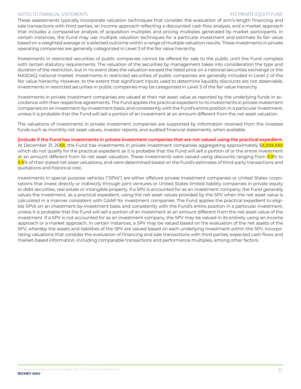These assessments typically incorporate valuation techniques that consider the evaluation of arm's-length financing and sale transactions with third parties, an income approach reflecting a discounted cash flow analysis, and a market approach that includes a comparative analysis of acquisition multiples and pricing multiples generated by market participants. In certain instances, the Fund may use multiple valuation techniques for a particular investment and estimate its fair value based on a weighted average or a selected outcome within a range of multiple valuation results. These investments in private operating companies are generally categorized in Level 3 of the fair value hierarchy.

Investments in restricted securities of public companies cannot be offered for sale to the public until the Fund complies with certain statutory requirements. The valuation of the securities by management takes into consideration the type and duration of the restriction, but in no event does the valuation exceed the listed price on a national securities exchange or the NASDAQ national market. Investments in restricted securities of public companies are generally included in Level 2 of the fair value hierarchy. However, to the extent that significant inputs used to determine liquidity discounts are not observable, investments in restricted securities in public companies may be categorized in Level 3 of the fair value hierarchy.

Investments in private investment companies are valued at their net asset value as reported by the underlying funds in accordance with their respective agreements. The Fund applies the practical expedient to its investments in private investment companies on an investment-by-investment basis, and consistently with the Fund's entire position in a particular investment, unless it is probable that the Fund will sell a portion of an investment at an amount different from the net asset valuation.

The valuations of investments in private investment companies are supported by information received from the investee funds such as monthly net asset values, investor reports, and audited financial statements, when available.

### **[Include if the Fund has investments in private investment companies that are not valued using the practical expedient.**

At December 31, 20XX, the Fund has investments in private investment companies aggregating approximately \$X,XXX,XXX which do not qualify for the practical expedient as it is probable that the Fund will sell a portion of or the entire investment at an amount different from its net asset valuation. These investments were valued using discounts ranging from XX% to X.X% of their stated net asset valuations, and were determined based on the Fund's estimates of third-party transactions and quotations and historical cost.

Investments in special purpose vehicles ("SPVs") are either offshore private investment companies or United States corporations that invest directly or indirectly through joint ventures or United States limited liability companies in private equity or debt securities, real estate or intangible property. If a SPV is accounted for as an investment company, the Fund generally values the investment, as a practical expedient, using the net asset values provided by the SPV when the net asset value is calculated in a manner consistent with GAAP for investment companies. The Fund applies the practical expedient to eligible SPVs on an investment-by-investment basis and consistently with the Fund's entire position in a particular investment, unless it is probable that the Fund will sell a portion of an investment at an amount different from the net asset value of the investment. If a SPV is not accounted for as an investment company, the SPV may be valued in its entirety using an income approach or a market approach. In certain instances, a SPV may be valued based on the evaluation of the net assets of the SPV, whereby the assets and liabilities of the SPV are valued based on each underlying investment within the SPV, incorporating valuations that consider the evaluation of financing and sale transactions with third parties, expected cash flows and market-based information, including comparable transactions and performance multiples, among other factors.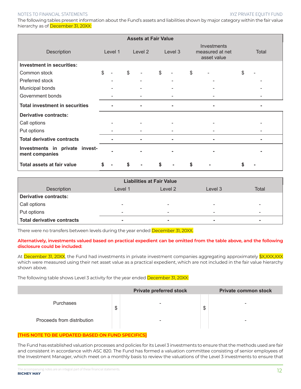The following tables present information about the Fund's assets and liabilities shown by major category within the fair value hierarchy as of December 31, 20XX:

| <b>Assets at Fair Value</b>                      |                |         |               |         |       |         |       |                                               |       |
|--------------------------------------------------|----------------|---------|---------------|---------|-------|---------|-------|-----------------------------------------------|-------|
| Description                                      |                | Level 1 |               | Level 2 |       | Level 3 |       | Investments<br>measured at net<br>asset value | Total |
| <b>Investment in securities:</b>                 |                |         |               |         |       |         |       |                                               |       |
| Common stock                                     | $\mathfrak{S}$ |         | $\mathcal{S}$ |         | $\$\$ |         | $\$\$ |                                               | \$    |
| Preferred stock                                  |                |         |               |         |       |         |       |                                               |       |
| Municipal bonds                                  |                |         |               |         |       |         |       |                                               |       |
| Government bonds                                 |                |         |               |         |       |         |       |                                               |       |
| <b>Total investment in securities</b>            |                |         |               |         |       |         |       |                                               |       |
| <b>Derivative contracts:</b>                     |                |         |               |         |       |         |       |                                               |       |
| Call options                                     |                |         |               |         |       |         |       |                                               |       |
| Put options                                      |                |         |               |         |       |         |       |                                               |       |
| <b>Total derivative contracts</b>                |                |         |               |         |       |         |       |                                               |       |
| Investments in private invest-<br>ment companies |                |         |               |         |       |         |       |                                               |       |
| Total assets at fair value                       | \$             |         | \$            |         | \$    |         | \$    |                                               | \$    |

| <b>Liabilities at Fair Value</b>  |                          |                              |         |       |  |  |  |  |  |  |
|-----------------------------------|--------------------------|------------------------------|---------|-------|--|--|--|--|--|--|
| <b>Description</b>                | Level 1                  | Level 2                      | Level 3 | Total |  |  |  |  |  |  |
| <b>Derivative contracts:</b>      |                          |                              |         |       |  |  |  |  |  |  |
| Call options                      | -                        | $\overline{\phantom{0}}$     | -       |       |  |  |  |  |  |  |
| Put options                       | $\overline{\phantom{0}}$ | $\qquad \qquad \blacksquare$ | -       | -     |  |  |  |  |  |  |
| <b>Total derivative contracts</b> | $\blacksquare$           | $\sim$                       | ۰       | ۰     |  |  |  |  |  |  |

There were no transfers between levels during the year ended December 31, 20XX.

### **Alternatively, investments valued based on practical expedient can be omitted from the table above, and the following disclosure could be included:**

At December 31, 20XX, the Fund had investments in private investment companies aggregating approximately \$X,XXX,XXX which were measured using their net asset value as a practical expedient, which are not included in the fair value hierarchy shown above.

The following table shows Level 3 activity for the year ended December 31, 20XX:

|                            | <b>Private preferred stock</b> |        | <b>Private common stock</b> |
|----------------------------|--------------------------------|--------|-----------------------------|
| Purchases                  | \$<br>-                        | ╓<br>จ |                             |
| Proceeds from distribution | -                              |        | <b>11</b>                   |

### **[THIS NOTE TO BE UPDATED BASED ON FUND SPECIFICS]**

The Fund has established valuation processes and policies for its Level 3 investments to ensure that the methods used are fair and consistent in accordance with ASC 820. The Fund has formed a valuation committee consisting of senior employees of the Investment Manager, which meet on a monthly basis to review the valuations of the Level 3 investments to ensure that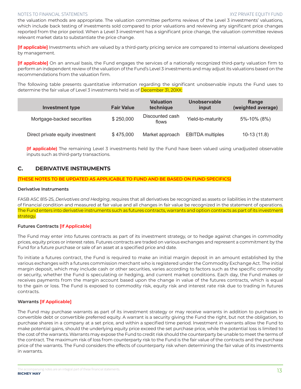the valuation methods are appropriate. The valuation committee performs reviews of the Level 3 investments' valuations, which include back testing of investments sold compared to prior valuations and reviewing any significant price changes reported from the prior period. When a Level 3 investment has a significant price change, the valuation committee reviews relevant market data to substantiate the price change.

**[If applicable]** Investments which are valued by a third-party pricing service are compared to internal valuations developed by management.

**[If applicable]** On an annual basis, the Fund engages the services of a nationally recognized third-party valuation firm to perform an independent review of the valuation of the Fund's Level 3 investments and may adjust its valuations based on the recommendations from the valuation firm.

The following table presents quantitative information regarding the significant unobservable inputs the Fund uses to determine the fair value of Level 3 investments held as of December 31, 20XX:

| <b>Investment type</b>           | <b>Fair Value</b> | <b>Valuation</b><br>technique | Unobservable<br>input   | Range<br>(weighted average) |
|----------------------------------|-------------------|-------------------------------|-------------------------|-----------------------------|
| Mortgage-backed securities       | \$250,000         | Discounted cash<br>flows      | Yield-to-maturity       | 5%-10% (8%)                 |
| Direct private equity investment | \$475,000         | Market approach               | <b>EBITDA</b> multiples | $10-13(11.8)$               |

**(If applicable)** The remaining Level 3 investments held by the Fund have been valued using unadjusted observable inputs such as third-party transactions.

# **C. DERIVATIVE INSTRUMENTS**

**(THESE NOTES TO BE UPDATED AS APPLICABLE TO FUND AND BE BASED ON FUND SPECIFICS)**

#### **Derivative Instruments**

FASB ASC 815-25, *Derivatives and Hedging*, requires that all derivatives be recognized as assets or liabilities in the statement of financial condition and measured at fair value and all changes in fair value be recognized in the statement of operations. The Fund enters into derivative instruments such as futures contracts, warrants and option contracts as part of its investment strategy.

### **Futures Contracts [If Applicable]**

The Fund may enter into futures contracts as part of its investment strategy, or to hedge against changes in commodity prices, equity prices or interest rates. Futures contracts are traded on various exchanges and represent a commitment by the Fund for a future purchase or sale of an asset at a specified price and date.

To initiate a futures contract, the Fund is required to make an initial margin deposit in an amount established by the various exchanges with a futures commission merchant who is registered under the Commodity Exchange Act. The initial margin deposit, which may include cash or other securities, varies according to factors such as the specific commodity or security, whether the Fund is speculating or hedging, and current market conditions. Each day, the Fund makes or receives payments from the margin account based upon the change in value of the futures contracts, which is equal to the gain or loss. The Fund is exposed to commodity risk, equity risk and interest rate risk due to trading in futures contracts.

### **Warrants [If Applicable]**

The Fund may purchase warrants as part of its investment strategy or may receive warrants in addition to purchases in convertible debt or convertible preferred equity. A warrant is a security giving the Fund the right, but not the obligation, to purchase shares in a company at a set price, and within a specified time period. Investment in warrants allow the Fund to make potential gains, should the underlying equity price exceed the set purchase price, while the potential loss is limited to the cost of the warrants. Warrants may expose the Fund to credit risk should the counterparty be unable to meet the terms of the contract. The maximum risk of loss from counterparty risk to the Fund is the fair value of the contracts and the purchase price of the warrants. The Fund considers the effects of counterparty risk when determining the fair value of its investments in warrants.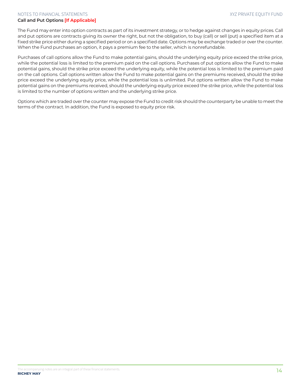#### **Call and Put Options [If Applicable]**

The Fund may enter into option contracts as part of its investment strategy, or to hedge against changes in equity prices. Call and put options are contracts giving its owner the right, but not the obligation, to buy (call) or sell (put) a specified item at a fixed strike price either during a specified period or on a specified date. Options may be exchange traded or over the counter. When the Fund purchases an option, it pays a premium fee to the seller, which is nonrefundable.

Purchases of call options allow the Fund to make potential gains, should the underlying equity price exceed the strike price, while the potential loss is limited to the premium paid on the call options. Purchases of put options allow the Fund to make potential gains, should the strike price exceed the underlying equity, while the potential loss is limited to the premium paid on the call options. Call options written allow the Fund to make potential gains on the premiums received, should the strike price exceed the underlying equity price, while the potential loss is unlimited. Put options written allow the Fund to make potential gains on the premiums received, should the underlying equity price exceed the strike price, while the potential loss is limited to the number of options written and the underlying strike price.

Options which are traded over the counter may expose the Fund to credit risk should the counterparty be unable to meet the terms of the contract. In addition, the Fund is exposed to equity price risk.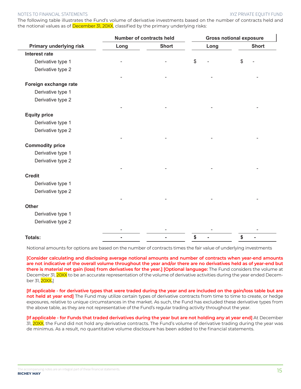The following table illustrates the Fund's volume of derivative investments based on the number of contracts held and the notional values as of **December 31, 20XX**, classified by the primary underlying risks:

|                                |      | Number of contracts held |      | <b>Gross notional exposure</b> |
|--------------------------------|------|--------------------------|------|--------------------------------|
| <b>Primary underlying risk</b> | Long | <b>Short</b>             | Long | <b>Short</b>                   |
| <b>Interest rate</b>           |      |                          |      |                                |
| Derivative type 1              |      |                          | \$   | \$                             |
| Derivative type 2              |      |                          |      |                                |
| Foreign exchange rate          |      |                          |      |                                |
| Derivative type 1              |      |                          |      |                                |
| Derivative type 2              |      |                          |      |                                |
| <b>Equity price</b>            |      |                          |      |                                |
| Derivative type 1              |      |                          |      |                                |
| Derivative type 2              |      |                          |      |                                |
|                                |      |                          |      |                                |
| <b>Commodity price</b>         |      |                          |      |                                |
| Derivative type 1              |      |                          |      |                                |
| Derivative type 2              |      |                          |      |                                |
| <b>Credit</b>                  |      |                          |      |                                |
| Derivative type 1              |      |                          |      |                                |
| Derivative type 2              |      |                          |      |                                |
|                                |      |                          |      |                                |
| <b>Other</b>                   |      |                          |      |                                |
| Derivative type 1              |      |                          |      |                                |
| Derivative type 2              |      |                          |      |                                |
|                                |      |                          |      |                                |
| <b>Totals:</b>                 |      |                          | \$   | \$                             |

Notional amounts for options are based on the number of contracts times the fair value of underlying investments

**[Consider calculating and disclosing average notional amounts and number of contracts when year-end amounts are not indicative of the overall volume throughout the year and/or there are no derivatives held as of year-end but there is material net gain (loss) from derivatives for the year.] [Optional language:** The Fund considers the volume at December 31, 20XX to be an accurate representation of the volume of derivative activities during the year ended December 31, 20XX**.**]

**[If applicable - for derivative types that were traded during the year and are included on the gain/loss table but are not held at year end]** The Fund may utilize certain types of derivative contracts from time to time to create, or hedge exposures, relative to unique circumstances in the market. As such, the Fund has excluded these derivative types from the above table, as they are not representative of the Fund's regular trading activity throughout the year.

**[If applicable - for Funds that traded derivatives during the year but are not holding any at year end]** At December 31, 20XX, the Fund did not hold any derivative contracts. The Fund's volume of derivative trading during the year was de minimus. As a result, no quantitative volume disclosure has been added to the financial statements.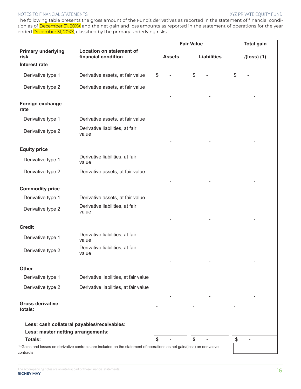The following table presents the gross amount of the Fund's derivatives as reported in the statement of financial condition as of December 31, 20XX and the net gain and loss amounts as reported in the statement of operations for the year ended December 31, 20XX, classified by the primary underlying risks:

|                                             |                                                                                                                                      | <b>Fair Value</b> |               |                    | <b>Total gain</b> |    |               |  |  |
|---------------------------------------------|--------------------------------------------------------------------------------------------------------------------------------------|-------------------|---------------|--------------------|-------------------|----|---------------|--|--|
| <b>Primary underlying</b><br>risk           | <b>Location on statement of</b><br>financial condition                                                                               |                   | <b>Assets</b> | <b>Liabilities</b> |                   |    | $I(loss)$ (1) |  |  |
| <b>Interest rate</b>                        |                                                                                                                                      |                   |               |                    |                   |    |               |  |  |
| Derivative type 1                           | Derivative assets, at fair value                                                                                                     | \$                |               | $\$\$              |                   | \$ |               |  |  |
| Derivative type 2                           | Derivative assets, at fair value                                                                                                     |                   |               |                    |                   |    |               |  |  |
| Foreign exchange<br>rate                    |                                                                                                                                      |                   |               |                    |                   |    |               |  |  |
| Derivative type 1                           | Derivative assets, at fair value                                                                                                     |                   |               |                    |                   |    |               |  |  |
| Derivative type 2                           | Derivative liabilities, at fair<br>value                                                                                             |                   |               |                    |                   |    |               |  |  |
| <b>Equity price</b>                         |                                                                                                                                      |                   |               |                    |                   |    |               |  |  |
| Derivative type 1                           | Derivative liabilities, at fair<br>value                                                                                             |                   |               |                    |                   |    |               |  |  |
| Derivative type 2                           | Derivative assets, at fair value                                                                                                     |                   |               |                    |                   |    |               |  |  |
| <b>Commodity price</b>                      |                                                                                                                                      |                   |               |                    |                   |    |               |  |  |
| Derivative type 1                           | Derivative assets, at fair value                                                                                                     |                   |               |                    |                   |    |               |  |  |
| Derivative type 2                           | Derivative liabilities, at fair<br>value                                                                                             |                   |               |                    |                   |    |               |  |  |
| <b>Credit</b>                               |                                                                                                                                      |                   |               |                    |                   |    |               |  |  |
| Derivative type 1                           | Derivative liabilities, at fair<br>value                                                                                             |                   |               |                    |                   |    |               |  |  |
| Derivative type 2                           | Derivative liabilities, at fair<br>value                                                                                             |                   |               |                    |                   |    |               |  |  |
|                                             |                                                                                                                                      |                   |               |                    |                   |    |               |  |  |
| <b>Other</b><br>Derivative type 1           | Derivative liabilities, at fair value                                                                                                |                   |               |                    |                   |    |               |  |  |
|                                             |                                                                                                                                      |                   |               |                    |                   |    |               |  |  |
| Derivative type 2                           | Derivative liabilities, at fair value                                                                                                |                   |               |                    |                   |    |               |  |  |
| <b>Gross derivative</b><br>totals:          |                                                                                                                                      |                   |               |                    |                   |    |               |  |  |
| Less: cash collateral payables/receivables: |                                                                                                                                      |                   |               |                    |                   |    |               |  |  |
| Less: master netting arrangements:          |                                                                                                                                      |                   |               |                    |                   |    |               |  |  |
| <b>Totals:</b>                              | <sup>(1)</sup> Gains and losses on derivative contracts are included on the statement of operations as net gain/(loss) on derivative | S                 |               | \$                 |                   | \$ |               |  |  |

contracts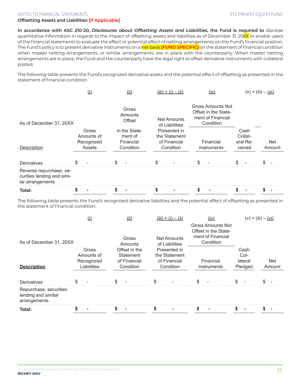#### **Offsetting Assets and Liabilities [If Applicable]**

**In accordance with ASC 210-20,** *Disclosures about Offsetting Assets and Liabilities***, the Fund is required to** disclose quantitative information in regards to the impact of offsetting assets and liabilities as of December 31, 20XX to enable users of the financial statements to evaluate the effect or potential effect of netting arrangements on the Fund's financial position. The Fund's policy is to present derivative instruments on a net basis **[FUND SPECIFIC]** on the statement of financial condition when master netting arrangements, or similar arrangements, are in place with the counterparty. When master netting arrangements are in place, the Fund and the counterparty have the legal right to offset derivative instruments with collateral posted.

The following table presents the Fund's recognized derivative assets and the potential effect of offsetting as presented in the statement of financial condition:

|                                                                           | $\left( 1\right)$                           |                            | (ii)                                               | $(iii) = (i) - (ii)$                                       |  | (iv)                                                                               |                          | $(v) = (iii) - (vi)$ |                                       |  |               |
|---------------------------------------------------------------------------|---------------------------------------------|----------------------------|----------------------------------------------------|------------------------------------------------------------|--|------------------------------------------------------------------------------------|--------------------------|----------------------|---------------------------------------|--|---------------|
| As of December 31, 20XX                                                   |                                             | Gross<br>Amounts<br>Offset |                                                    | <b>Net Amounts</b><br>of Liabilities                       |  | <b>Gross Amounts Not</b><br>Offset in the State-<br>ment of Financial<br>Condition |                          |                      |                                       |  |               |
| Description                                                               | Gross<br>Amounts of<br>Recognized<br>Assets |                            | in the State-<br>ment of<br>Financial<br>Condition | Presented in<br>the Statement<br>of Financial<br>Condition |  |                                                                                    | Financial<br>Instruments |                      | Cash<br>Collat-<br>eral Re-<br>ceived |  | Net<br>Amount |
| Derivatives                                                               |                                             | \$                         |                                                    | ፍ                                                          |  | ፍ                                                                                  |                          |                      |                                       |  |               |
| Reverse repurchase, se-<br>curities lending and simi-<br>lar arrangements |                                             |                            |                                                    |                                                            |  |                                                                                    |                          |                      |                                       |  |               |
| Total:                                                                    |                                             | S                          |                                                    |                                                            |  |                                                                                    |                          |                      |                                       |  |               |

The following table presents the Fund's recognized derivative liabilities and the potential effect of offsetting as presented in the statement of financial condition:

|                                                               |     | $\Omega$                          |                                            | (ii)                                 |                                               | $(iii) = (i) - (ii)$                                                               | (iv)        |  |                         | $(v) = (iii) - (vi)$ |
|---------------------------------------------------------------|-----|-----------------------------------|--------------------------------------------|--------------------------------------|-----------------------------------------------|------------------------------------------------------------------------------------|-------------|--|-------------------------|----------------------|
| As of December 31, 20XX                                       |     | Gross<br>Amounts                  |                                            | <b>Net Amounts</b><br>of Liabilities |                                               | <b>Gross Amounts Not</b><br>Offset in the State-<br>ment of Financial<br>Condition |             |  |                         |                      |
|                                                               |     | Gross<br>Amounts of<br>Recognized | Offset in the<br>Statement<br>of Financial |                                      | Presented in<br>the Statement<br>of Financial |                                                                                    | Financial   |  | Cash<br>Col-<br>lateral | <b>Net</b>           |
| <b>Description</b>                                            |     | Liabilities                       |                                            | Condition                            | Condition                                     |                                                                                    | Instruments |  | Pledged                 | Amount               |
| Derivatives                                                   | \$. |                                   | \$                                         |                                      | \$.                                           |                                                                                    | ደ           |  |                         |                      |
| Repurchase, securities<br>lending and similar<br>arrangements |     |                                   |                                            |                                      |                                               |                                                                                    |             |  |                         |                      |
| Total:                                                        |     |                                   |                                            |                                      |                                               |                                                                                    |             |  |                         |                      |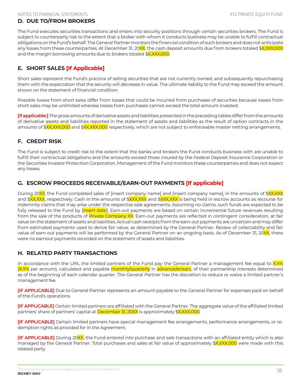# **D. DUE TO/FROM BROKERS**

The Fund executes securities transactions and enters into security positions through certain securities brokers. The Fund is subject to counterparty risk to the extent that a broker with whom it conducts business may be unable to fulfill contractual obligations on the Fund's behalf. The General Partner monitors the financial condition of such brokers and does not anticipate any losses from these counterparties. At December 31, 20<mark>XX</mark>, the cash deposit amounts due from brokers totaled \$<mark>X,XXX,000</mark> and the margin borrowing amounts due to brokers totaled \$X,XXX,000.

# **E. SHORT SALES [If Applicable]**

Short sales represent the Fund's practice of selling securities that are not currently owned, and subsequently repurchasing them with the expectation that the security will decrease in value. The ultimate liability to the Fund may exceed the amount shown on the statement of financial condition.

Possible losses from short sales differ from losses that could be incurred from purchases of securities because losses from short sales may be unlimited whereas losses from purchases cannot exceed the total amount invested.

**[If applicable:]** The gross amounts of derivative assets and liabilities presented in the preceding tables differ from the amounts of derivative assets and liabilities reported in the statement of assets and liabilities as the result of option contracts in the amounts of \$XX,XXX,000 and \$XX,XXX,000 respectively, which are not subject to enforceable master netting arrangements.

# **F. CREDIT RISK**

The Fund is subject to credit risk to the extent that the banks and brokers the Fund conducts business with are unable to fulfill their contractual obligations and the amounts exceed those insured by the Federal Deposit Insurance Corporation or the Securities Investor Protection Corporation. Management of the Fund monitors these counterparties and does not expect any losses.

# **G. ESCROW PROCEEDS RECEIVABLE/EARN-OUT PAYMENTS [If applicable]**

During 20XX, the Fund completed sales of [insert company name] and [insert company name], in the amounts of \$XX,XXX and \$<mark>XX,XXX</mark>, respectively. Cash in the amounts of \$<mark>XXX,XXX</mark> and \$<mark>XXX,XXX</mark> is being held in escrow accounts as recourse for indemnity claims that may arise under the respective sale agreements. Assuming no claims, such funds are expected to be fully released to the Fund by [insert date]. Earn-out payments are based on certain incremental future revenues resulting from the sale of the products of Private Company XX. Earn-out payments are reflected in contingent consideration, at fair value on the statement of assets and liabilities. Actual cash receipts from the earn-out payments are uncertain and may differ from estimated payments used to derive fair value, as determined by the General Partner. Review of collectability and fair value of earn-out payments will be performed by the General Partner on an ongoing basis. As of December 31, 20XX, there were no earnout payments recorded on the statement of assets and liabilities.

# **H. RELATED PARTY TRANSACTIONS**

In accordance with the LPA, the limited partners of the Fund pay the General Partner a management fee equal to X.X% (X.X% per annum), calculated and payable monthly/quarterly in advance/arrears, of their partnership interests determined as of the beginning of each calendar quarter. The General Partner has the discretion to reduce or waive a limited partner's management fee.

**[IF APPLICABLE]** Due to General Partner represents an amount payable to the General Partner for expenses paid on behalf of the Fund's operations.

**[IF APPLICABLE]** Certain limited partners are affiliated with the General Partner. The aggregate value of the affiliated limited partners' share of partners' capital at December 31, 20XX is approximately \$X,XXX,000.

**[IF APPLICABLE]** Certain limited partners have special management fee arrangements, performance arrangements, or redemption rights as provided for in the Agreement.

**[IF APPLICABLE]** During 20XX, the Fund entered into purchase and sale transactions with an affiliated entity which is also managed by the General Partner. Total purchases and sales at fair value of approximately \$X,XXX,000 were made with this related party.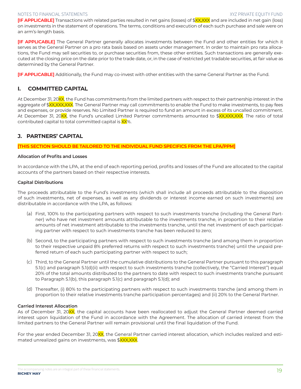**[IF APPLICABLE]** Transactions with related parties resulted in net gains (losses) of \$XX,XXX and are included in net gain (loss) on investments in the statement of operations. The terms, conditions and execution of each such purchase and sale were on an arm's-length basis.

**[IF APPLICABLE]** The General Partner generally allocates investments between the Fund and other entities for which it serves as the General Partner on a pro rata basis based on assets under management. In order to maintain pro rata allocations, the Fund may sell securities to, or purchase securities from, these other entities. Such transactions are generally executed at the closing price on the date prior to the trade date, or, in the case of restricted yet tradable securities, at fair value as determined by the General Partner.

**[IF APPLICABLE]** Additionally, the Fund may co-invest with other entities with the same General Partner as the Fund.

# **I. COMMITTED CAPITAL**

At December 31, 20XX, the Fund has commitments from the limited partners with respect to their partnership interest in the aggregate of \$XX,XXX,XXX. The General Partner may call commitments to enable the Fund to make investments, to pay fees and expenses, or provide reserves. No Limited Partner is required to fund an amount in excess of its uncalled commitment. At December 31, 20XX, the Fund's uncalled Limited Partner commitments amounted to \$XX,XXX,XXX. The ratio of total contributed capital to total committed capital is XX%.

# **J. PARTNERS' CAPITAL**

#### **[THIS SECTION SHOULD BE TAILORED TO THE INDIVIDUAL FUND SPECIFICS FROM THE LPA/PPM]**

#### **Allocation of Profits and Losses**

In accordance with the LPA, at the end of each reporting period, profits and losses of the Fund are allocated to the capital accounts of the partners based on their respective interests.

#### **Capital Distributions**

The proceeds attributable to the Fund's investments (which shall include all proceeds attributable to the disposition of such investments, net of expenses, as well as any dividends or interest income earned on such investments) are distributable in accordance with the LPA, as follows:

- (a) First, 100% to the participating partners with respect to such investments tranche (including the General Partner) who have net investment amounts attributable to the investments tranche, in proportion to their relative amounts of net investment attributable to the investments tranche, until the net investment of each participating partner with respect to such investments tranche has been reduced to zero;
- (b) Second, to the participating partners with respect to such investments tranche (and among them in proportion to their respective unpaid 8% preferred returns with respect to such investments tranche) until the unpaid preferred return of each such participating partner with respect to such;
- (c) Third, to the General Partner until the cumulative distributions to the General Partner pursuant to this paragraph 5.1(c) and paragraph 5.1(d)(ii) with respect to such investments tranche (collectively, the "Carried Interest") equal 20% of the total amounts distributed to the partners to date with respect to such investments tranche pursuant to Paragraph 5.1(b), this paragraph 5.1(c) and paragraph 5.1(d); and
- (d) Thereafter, (i) 80% to the participating partners with respect to such investments tranche (and among them in proportion to their relative investments tranche participation percentages) and (ii) 20% to the General Partner.

### **Carried Interest Allocation**

As of December 31, 20XX, the capital accounts have been reallocated to adjust the General Partner deemed carried interest upon liquidation of the Fund in accordance with the Agreement. The allocation of carried interest from the limited partners to the General Partner will remain provisional until the final liquidation of the Fund.

For the year ended December 31, 20<mark>XX</mark>, the General Partner carried interest allocation, which includes realized and estimated unrealized gains on investments, was \$XXX,XXX.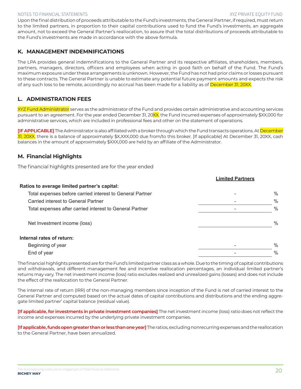**Limited Partners**

Upon the final distribution of proceeds attributable to the Fund's investments, the General Partner, if required, must return to the limited partners, in proportion to their capital contributions used to fund the Fund's investments, an aggregate amount, not to exceed the General Partner's reallocation, to assure that the total distributions of proceeds attributable to the Fund's investments are made in accordance with the above formula.

# **K. MANAGEMENT INDEMNIFICATIONS**

The LPA provides general indemnifications to the General Partner and its respective affiliates, shareholders, members, partners, managers, directors, officers and employees when acting in good faith on behalf of the Fund. The Fund's maximum exposure under these arrangements is unknown. However, the Fund has not had prior claims or losses pursuant to these contracts. The General Partner is unable to estimate any potential future payment amounts and expects the risk of any such loss to be remote, accordingly no accrual has been made for a liability as of December 31, 20XX.

# **L. ADMINISTRATION FEES**

XYZ Fund Administrator serves as the administrator of the Fund and provides certain administrative and accounting services pursuant to an agreement. For the year ended December 31, 20XX, the Fund incurred expenses of approximately \$XX,000 for administrative services, which are included in professional fees and other on the statement of operations.

**[IF APPLICABLE]** The Administrator is also affiliated with a broker through which the Fund transacts operations. At <mark>December</mark> 31, 20XX, there is a balance of approximately \$X,XXX,000 due from/to this broker. [If applicable] At December 31, 20XX, cash balances in the amount of approximately \$XXX,000 are held by an affiliate of the Administrator.

# **M. Financial Highlights**

The financial highlights presented are for the year ended

| Ratios to average limited partner's capital:              |               |
|-----------------------------------------------------------|---------------|
| Total expenses before carried interest to General Partner | $\frac{0}{0}$ |
| Carried interest to General Partner                       | $\frac{0}{0}$ |
| Total expenses after carried interest to General Partner  | $\%$          |
| Net Investment income (loss)                              | $\frac{0}{0}$ |
| Internal rates of return:                                 |               |
| Beginning of year                                         | $\%$          |
| End of year                                               | $\%$          |

The financial highlights presented are for the Fund's limited partner class as a whole. Due to the timing of capital contributions and withdrawals, and different management fee and incentive reallocation percentages, an individual limited partner's returns may vary. The net investment income (loss) ratio excludes realized and unrealized gains (losses) and does not include the effect of the reallocation to the General Partner.

The internal rate of return (IRR) of the non-managing members since inception of the Fund is net of carried interest to the General Partner and computed based on the actual dates of capital contributions and distributions and the ending aggregate limited partner' capital balance (residual value).

**[If applicable, for investments in private investment companies]** The net investment income (loss) ratio does not reflect the income and expenses incurred by the underlying private investment companies.

**[If applicable, funds open greater than or less than one year]** The ratios, excluding nonrecurring expenses and the reallocation to the General Partner, have been annualized.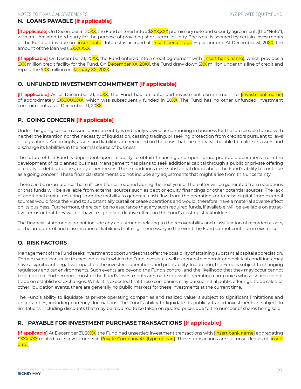# **N. LOANS PAYABLE [If applicable]**

[If applicable] On December 31, 20XX, the Fund entered into a \$XXX,XXX promissory note and security agreement, (the "Note"), with an unrelated third party for the purpose of providing short-term liquidity. The Note is secured by certain investments of the Fund and is due on [insert date]. Interest is accrued at [insert percentage]% per annum. At December 31, 20XX, the amount of the loan was \$XXX,XXX.

**[If applicable]** On December 31, 20XX, the Fund entered into a credit agreement with [insert bank name], which provides a \$<mark>XX</mark> million credit facility for the Fund. On <mark>December XX, 20XX</mark>, the Fund drew down \$XX million under this line of credit and repaid the \$XX million on January XX, 20XX.

# **O. UNFUNDED INVESTMENT COMMITMENT [If applicable]**

**[If applicable]** As of December 31, 20XX, the Fund had an unfunded investment commitment to [investment name] of approximately \$XX,XXX,XXX, which was subsequently funded in 20XX. The Fund has no other unfunded investment commitments as of December 31, 20XX.

# **P. GOING CONCERN [If applicable]**

Under the going concern assumption, an entity is ordinarily viewed as continuing in business for the foreseeable future with neither the intention nor the necessity of liquidation, ceasing trading, or seeking protection from creditors pursuant to laws or regulations. Accordingly, assets and liabilities are recorded on the basis that the entity will be able to realize its assets and discharge its liabilities in the normal course of business.

The future of the Fund is dependent upon its ability to obtain financing and upon future profitable operations from the development of its planned business. Management has plans to seek additional capital through a public or private offering of equity or debt securities, or by other means. These conditions raise substantial doubt about the Fund's ability to continue as a going concern. These financial statements do not include any adjustments that might arise from this uncertainty.

There can be no assurance that sufficient funds required during the next year or thereafter will be generated from operations or that funds will be available from external sources such as debt or equity financings or other potential sources. The lack of additional capital resulting from the inability to generate cash flow from the operations or to raise capital from external sources would force the Fund to substantially curtail or cease operations and would, therefore, have a material adverse effect on its business. Furthermore, there can be no assurance that any such required funds, if available, will be available on attractive terms or that they will not have a significant dilutive effect on the Fund's existing stockholders.

The financial statements do not include any adjustments relating to the recoverability and classification of recorded assets, or the amounts of and classification of liabilities that might necessary in the event the Fund cannot continue in existence.

# **Q. RISK FACTORS**

Management of the Fund seeks investment opportunities that offer the possibility of attaining substantial capital appreciation. Certain events particular to each industry in which the Fund invests, as well as general economic and political conditions, may have a significant negative impact on the investee's operations and profitability. In addition, the Fund is subject to changing regulatory and tax environments. Such events are beyond the Fund's control, and the likelihood that they may occur cannot be predicted. Furthermore, most of the Fund's investments are made in private operating companies whose shares do not trade on established exchanges. While it is expected that these companies may pursue initial public offerings, trade sales, or other liquidation events, there are generally no public markets for these investments at the current time.

The Fund's ability to liquidate its private operating companies and realized value is subject to significant limitations and uncertainties, including currency fluctuations. The Fund's ability to liquidate its publicly traded investments is subject to limitations, including discounts that may be required to be taken on quoted prices due to the number of shares being sold.

# **R. PAYABLE FOR INVESTMENT PURCHASE TRANSACTIONS [If applicable]**

**[If applicable]** At December 31, 20XX, the Fund had unsettled investment transactions with [insert bank name] aggregating \$XXX,XXX related to its investments in Private Company 4's [type of loan]. These transactions are still unsettled as of [<mark>insert</mark> date.]